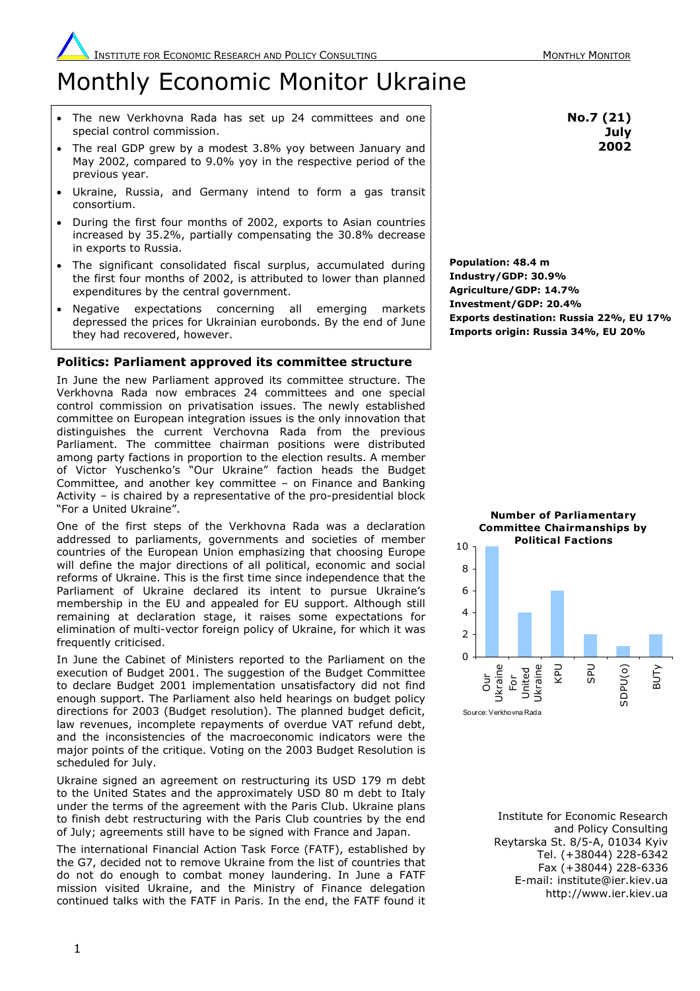# Monthly Economic Monitor Ukraine

- The new Verkhovna Rada has set up 24 committees and one special control commission.
- The real GDP grew by a modest 3.8% yoy between January and May 2002, compared to 9.0% yoy in the respective period of the previous year.
- Ukraine, Russia, and Germany intend to form a gas transit consortium.
- During the first four months of 2002, exports to Asian countries increased by 35.2%, partially compensating the 30.8% decrease in exports to Russia.
- The significant consolidated fiscal surplus, accumulated during the first four months of 2002, is attributed to lower than planned expenditures by the central government.
- Negative expectations concerning all emerging markets depressed the prices for Ukrainian eurobonds. By the end of June they had recovered, however.

# **Politics: Parliament approved its committee structure**

In June the new Parliament approved its committee structure. The Verkhovna Rada now embraces 24 committees and one special control commission on privatisation issues. The newly established committee on European integration issues is the only innovation that distinguishes the current Verchovna Rada from the previous Parliament. The committee chairman positions were distributed among party factions in proportion to the election results. A member of Victor Yuschenko's "Our Ukraine" faction heads the Budget Committee, and another key committee – on Finance and Banking Activity – is chaired by a representative of the pro-presidential block "For a United Ukraine".

One of the first steps of the Verkhovna Rada was a declaration addressed to parliaments, governments and societies of member countries of the European Union emphasizing that choosing Europe will define the major directions of all political, economic and social reforms of Ukraine. This is the first time since independence that the Parliament of Ukraine declared its intent to pursue Ukraine's membership in the EU and appealed for EU support. Although still remaining at declaration stage, it raises some expectations for elimination of multi-vector foreign policy of Ukraine, for which it was frequently criticised.

In June the Cabinet of Ministers reported to the Parliament on the execution of Budget 2001. The suggestion of the Budget Committee to declare Budget 2001 implementation unsatisfactory did not find enough support. The Parliament also held hearings on budget policy directions for 2003 (Budget resolution). The planned budget deficit, law revenues, incomplete repayments of overdue VAT refund debt, and the inconsistencies of the macroeconomic indicators were the major points of the critique. Voting on the 2003 Budget Resolution is scheduled for July.

Ukraine signed an agreement on restructuring its USD 179 m debt to the United States and the approximately USD 80 m debt to Italy under the terms of the agreement with the Paris Club. Ukraine plans to finish debt restructuring with the Paris Club countries by the end of July; agreements still have to be signed with France and Japan.

The international Financial Action Task Force (FATF), established by the G7, decided not to remove Ukraine from the list of countries that do not do enough to combat money laundering. In June a FATF mission visited Ukraine, and the Ministry of Finance delegation continued talks with the FATF in Paris. In the end, the FATF found it

**No.7 (21) July 2002**

**Population: 48.4 m Industry/GDP: 30.9% Agriculture/GDP: 14.7% Investment/GDP: 20.4% Exports destination: Russia 22%, EU 17% Imports origin: Russia 34%, EU 20%** 



Institute for Economic Research and Policy Consulting Reytarska St. 8/5-A, 01034 Kyiv Tel. (+38044) 228-6342 Fax (+38044) 228-6336 E-mail: institute@ier.kiev.ua http://www.ier.kiev.ua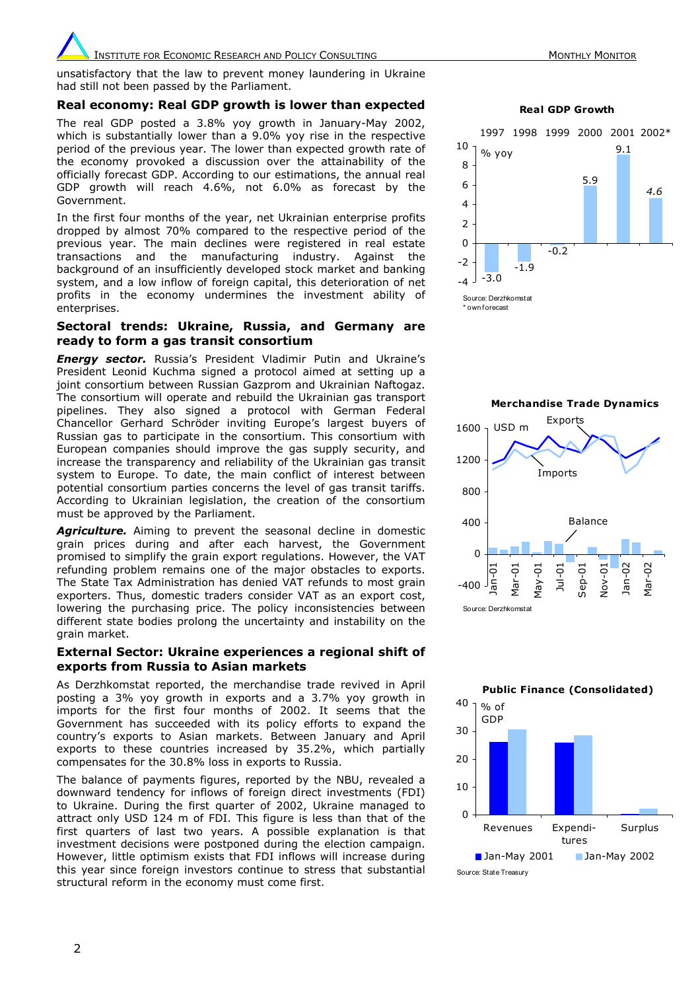# **INSTITUTE FOR ECONOMIC RESEARCH AND POLICY CONSULTING MONETATION MONTHLY MONTHLY MONITOR**

unsatisfactory that the law to prevent money laundering in Ukraine had still not been passed by the Parliament.

### **Real economy: Real GDP growth is lower than expected**

The real GDP posted a 3.8% yoy growth in January-May 2002, which is substantially lower than a 9.0% yoy rise in the respective period of the previous year. The lower than expected growth rate of the economy provoked a discussion over the attainability of the officially forecast GDP. According to our estimations, the annual real GDP growth will reach 4.6%, not 6.0% as forecast by the Government.

In the first four months of the year, net Ukrainian enterprise profits dropped by almost 70% compared to the respective period of the previous year. The main declines were registered in real estate transactions and the manufacturing industry. Against the background of an insufficiently developed stock market and banking system, and a low inflow of foreign capital, this deterioration of net profits in the economy undermines the investment ability of enterprises

#### **Sectoral trends: Ukraine, Russia, and Germany are ready to form a gas transit consortium**

*Energy sector.* Russia's President Vladimir Putin and Ukraine's President Leonid Kuchma signed a protocol aimed at setting up a joint consortium between Russian Gazprom and Ukrainian Naftogaz. The consortium will operate and rebuild the Ukrainian gas transport pipelines. They also signed a protocol with German Federal Chancellor Gerhard Schröder inviting Europe's largest buyers of Russian gas to participate in the consortium. This consortium with European companies should improve the gas supply security, and increase the transparency and reliability of the Ukrainian gas transit system to Europe. To date, the main conflict of interest between potential consortium parties concerns the level of gas transit tariffs. According to Ukrainian legislation, the creation of the consortium must be approved by the Parliament.

Agriculture. Aiming to prevent the seasonal decline in domestic grain prices during and after each harvest, the Government promised to simplify the grain export regulations. However, the VAT refunding problem remains one of the major obstacles to exports. The State Tax Administration has denied VAT refunds to most grain exporters. Thus, domestic traders consider VAT as an export cost, lowering the purchasing price. The policy inconsistencies between different state bodies prolong the uncertainty and instability on the grain market.

#### **External Sector: Ukraine experiences a regional shift of exports from Russia to Asian markets**

As Derzhkomstat reported, the merchandise trade revived in April posting a 3% yoy growth in exports and a 3.7% yoy growth in imports for the first four months of 2002. It seems that the Government has succeeded with its policy efforts to expand the country's exports to Asian markets. Between January and April exports to these countries increased by 35.2%, which partially compensates for the 30.8% loss in exports to Russia.

The balance of payments figures, reported by the NBU, revealed a downward tendency for inflows of foreign direct investments (FDI) to Ukraine. During the first quarter of 2002, Ukraine managed to attract only USD 124 m of FDI. This figure is less than that of the first quarters of last two years. A possible explanation is that investment decisions were postponed during the election campaign. However, little optimism exists that FDI inflows will increase during this year since foreign investors continue to stress that substantial structural reform in the economy must come first.

**Real GDP Growth**







Source: State Treasury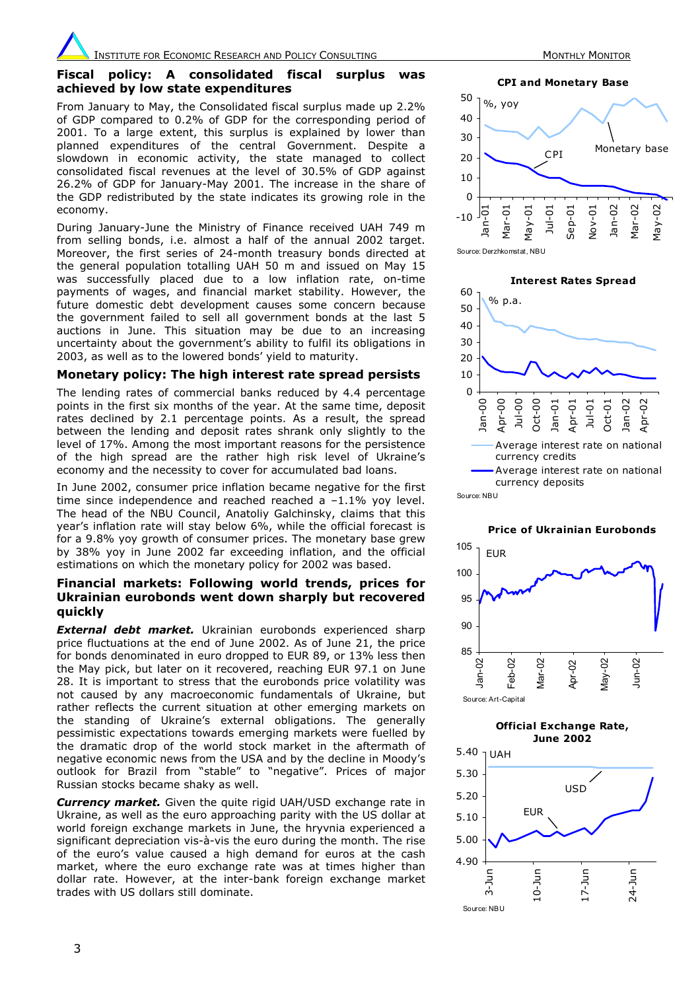## **Fiscal policy: A consolidated fiscal surplus was achieved by low state expenditures**

From January to May, the Consolidated fiscal surplus made up 2.2% of GDP compared to 0.2% of GDP for the corresponding period of 2001. To a large extent, this surplus is explained by lower than planned expenditures of the central Government. Despite a slowdown in economic activity, the state managed to collect consolidated fiscal revenues at the level of 30.5% of GDP against 26.2% of GDP for January-May 2001. The increase in the share of the GDP redistributed by the state indicates its growing role in the economy.

During January-June the Ministry of Finance received UAH 749 m from selling bonds, i.e. almost a half of the annual 2002 target. Moreover, the first series of 24-month treasury bonds directed at the general population totalling UAH 50 m and issued on May 15 was successfully placed due to a low inflation rate, on-time payments of wages, and financial market stability. However, the future domestic debt development causes some concern because the government failed to sell all government bonds at the last 5 auctions in June. This situation may be due to an increasing uncertainty about the government's ability to fulfil its obligations in 2003, as well as to the lowered bonds' yield to maturity.

#### **Monetary policy: The high interest rate spread persists**

The lending rates of commercial banks reduced by 4.4 percentage points in the first six months of the year. At the same time, deposit rates declined by 2.1 percentage points. As a result, the spread between the lending and deposit rates shrank only slightly to the level of 17%. Among the most important reasons for the persistence of the high spread are the rather high risk level of Ukraine's economy and the necessity to cover for accumulated bad loans.

In June 2002, consumer price inflation became negative for the first time since independence and reached reached a –1.1% yoy level. The head of the NBU Council, Anatoliy Galchinsky, claims that this year's inflation rate will stay below 6%, while the official forecast is for a 9.8% yoy growth of consumer prices. The monetary base grew by 38% yoy in June 2002 far exceeding inflation, and the official estimations on which the monetary policy for 2002 was based.

### **Financial markets: Following world trends, prices for Ukrainian eurobonds went down sharply but recovered quickly**

*External debt market.* Ukrainian eurobonds experienced sharp price fluctuations at the end of June 2002. As of June 21, the price for bonds denominated in euro dropped to EUR 89, or 13% less then the May pick, but later on it recovered, reaching EUR 97.1 on June 28. It is important to stress that the eurobonds price volatility was not caused by any macroeconomic fundamentals of Ukraine, but rather reflects the current situation at other emerging markets on the standing of Ukraine's external obligations. The generally pessimistic expectations towards emerging markets were fuelled by the dramatic drop of the world stock market in the aftermath of negative economic news from the USA and by the decline in Moody's outlook for Brazil from "stable" to "negative". Prices of major Russian stocks became shaky as well.

*Currency market.* Given the quite rigid UAH/USD exchange rate in Ukraine, as well as the euro approaching parity with the US dollar at world foreign exchange markets in June, the hryvnia experienced a significant depreciation vis-à-vis the euro during the month. The rise of the euro's value caused a high demand for euros at the cash market, where the euro exchange rate was at times higher than dollar rate. However, at the inter-bank foreign exchange market trades with US dollars still dominate.

**CPI and Monetary Base**

 $-10$ 0 10 20 30 40 50 Jan-01 Mar-0: May-01 Jul-01 Sep-01 Nov-01 Jan-02 Mar-02 May-02 %, yoy CPI Monetary base

Source: Derzhkomstat, NBU





# **Official Exchange Rate,**